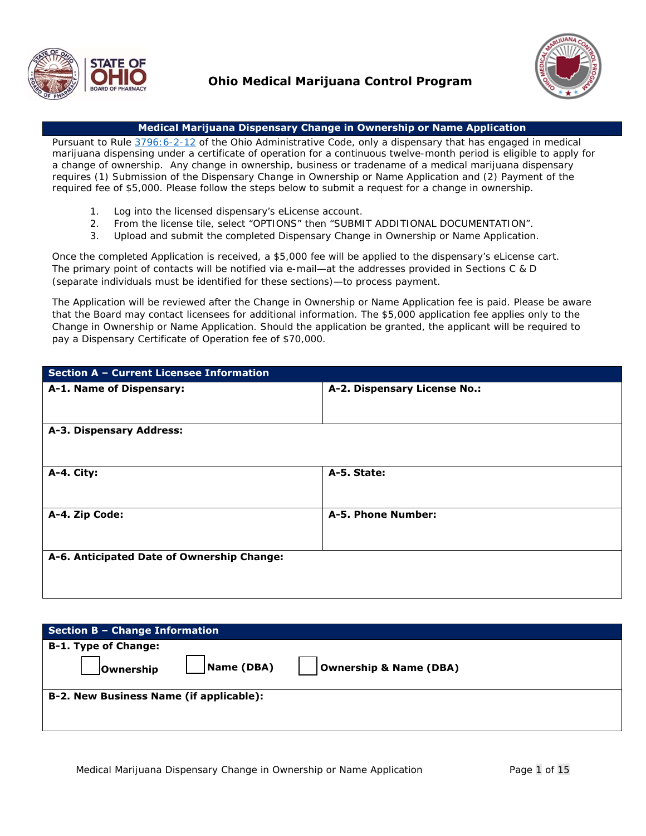



#### **Medical Marijuana Dispensary Change in Ownership or Name Application**

Pursuant to Rule 3796: 6-2-12 of the Ohio Administrative Code, only a dispensary that has engaged in medical marijuana dispensing under a certificate of operation for a continuous twelve-month period is eligible to apply for a change of ownership. Any change in ownership, business or tradename of a medical marijuana dispensary requires (1) Submission of the Dispensary Change in Ownership or Name Application and (2) Payment of the required fee of \$5,000. Please follow the steps below to submit a request for a change in ownership.

- 1. Log into the licensed dispensary's eLicense account.
- 2. From the license tile, select "OPTIONS" then "SUBMIT ADDITIONAL DOCUMENTATION".
- 3. Upload and submit the completed Dispensary Change in Ownership or Name Application.

Once the completed Application is received, a \$5,000 fee will be applied to the dispensary's eLicense cart. The primary point of contacts will be notified via e-mail—at the addresses provided in Sections C & D (separate individuals must be identified for these sections)—to process payment.

The Application will be reviewed after the Change in Ownership or Name Application fee is paid. Please be aware that the Board may contact licensees for additional information. The \$5,000 application fee applies only to the Change in Ownership or Name Application. Should the application be granted, the applicant will be required to pay a Dispensary Certificate of Operation fee of \$70,000.

| Section A - Current Licensee Information   |                              |  |  |
|--------------------------------------------|------------------------------|--|--|
| A-1. Name of Dispensary:                   | A-2. Dispensary License No.: |  |  |
| A-3. Dispensary Address:                   |                              |  |  |
| A-4. City:                                 | A-5. State:                  |  |  |
| A-4. Zip Code:                             | A-5. Phone Number:           |  |  |
| A-6. Anticipated Date of Ownership Change: |                              |  |  |

| <b>Section B - Change Information</b>   |                                   |
|-----------------------------------------|-----------------------------------|
| <b>B-1. Type of Change:</b>             |                                   |
| Name (DBA)<br><b>JOwnership</b>         | <b>Ownership &amp; Name (DBA)</b> |
| B-2. New Business Name (if applicable): |                                   |
|                                         |                                   |
|                                         |                                   |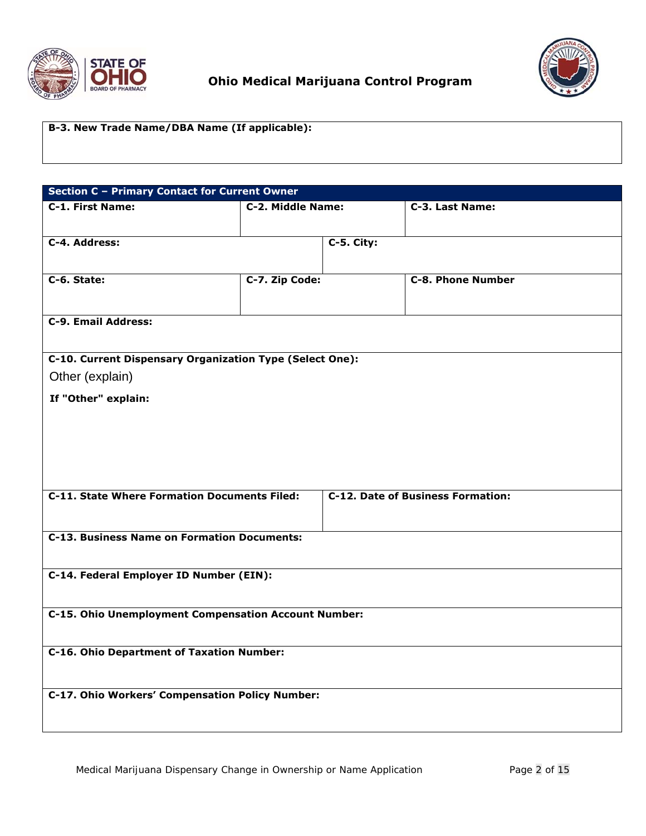



## **B-3. New Trade Name/DBA Name (If applicable):**

| <b>Section C - Primary Contact for Current Owner</b>     |                   |            |                                          |  |  |
|----------------------------------------------------------|-------------------|------------|------------------------------------------|--|--|
| C-1. First Name:                                         | C-2. Middle Name: |            | C-3. Last Name:                          |  |  |
|                                                          |                   |            |                                          |  |  |
| C-4. Address:                                            |                   | C-5. City: |                                          |  |  |
|                                                          |                   |            |                                          |  |  |
| C-6. State:                                              | C-7. Zip Code:    |            | <b>C-8. Phone Number</b>                 |  |  |
|                                                          |                   |            |                                          |  |  |
| C-9. Email Address:                                      |                   |            |                                          |  |  |
| C-10. Current Dispensary Organization Type (Select One): |                   |            |                                          |  |  |
| Other (explain)                                          |                   |            |                                          |  |  |
| If "Other" explain:                                      |                   |            |                                          |  |  |
|                                                          |                   |            |                                          |  |  |
|                                                          |                   |            |                                          |  |  |
|                                                          |                   |            |                                          |  |  |
|                                                          |                   |            |                                          |  |  |
| <b>C-11. State Where Formation Documents Filed:</b>      |                   |            | <b>C-12. Date of Business Formation:</b> |  |  |
|                                                          |                   |            |                                          |  |  |
| <b>C-13. Business Name on Formation Documents:</b>       |                   |            |                                          |  |  |
|                                                          |                   |            |                                          |  |  |
| C-14. Federal Employer ID Number (EIN):                  |                   |            |                                          |  |  |
|                                                          |                   |            |                                          |  |  |
| C-15. Ohio Unemployment Compensation Account Number:     |                   |            |                                          |  |  |
|                                                          |                   |            |                                          |  |  |
| <b>C-16. Ohio Department of Taxation Number:</b>         |                   |            |                                          |  |  |
|                                                          |                   |            |                                          |  |  |
| C-17. Ohio Workers' Compensation Policy Number:          |                   |            |                                          |  |  |
|                                                          |                   |            |                                          |  |  |
|                                                          |                   |            |                                          |  |  |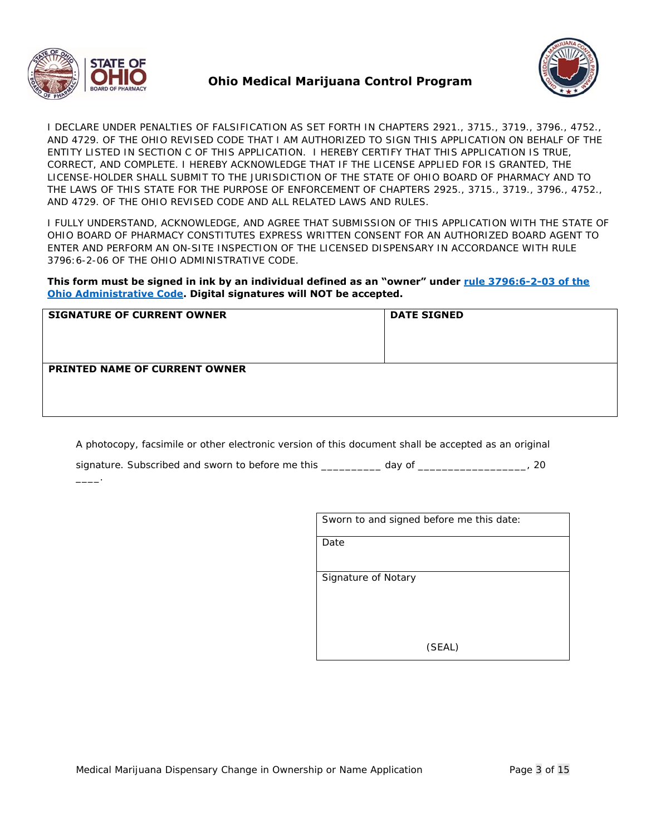

 $\overline{\phantom{a}}$ 



I DECLARE UNDER PENALTIES OF FALSIFICATION AS SET FORTH IN CHAPTERS 2921., 3715., 3719., 3796., 4752., AND 4729. OF THE OHIO REVISED CODE THAT I AM AUTHORIZED TO SIGN THIS APPLICATION ON BEHALF OF THE ENTITY LISTED IN SECTION C OF THIS APPLICATION. I HEREBY CERTIFY THAT THIS APPLICATION IS TRUE, CORRECT, AND COMPLETE. I HEREBY ACKNOWLEDGE THAT IF THE LICENSE APPLIED FOR IS GRANTED, THE LICENSE-HOLDER SHALL SUBMIT TO THE JURISDICTION OF THE STATE OF OHIO BOARD OF PHARMACY AND TO THE LAWS OF THIS STATE FOR THE PURPOSE OF ENFORCEMENT OF CHAPTERS 2925., 3715., 3719., 3796., 4752., AND 4729. OF THE OHIO REVISED CODE AND ALL RELATED LAWS AND RULES.

I FULLY UNDERSTAND, ACKNOWLEDGE, AND AGREE THAT SUBMISSION OF THIS APPLICATION WITH THE STATE OF OHIO BOARD OF PHARMACY CONSTITUTES EXPRESS WRITTEN CONSENT FOR AN AUTHORIZED BOARD AGENT TO ENTER AND PERFORM AN ON-SITE INSPECTION OF THE LICENSED DISPENSARY IN ACCORDANCE WITH RULE 3796:6-2-06 OF THE OHIO ADMINISTRATIVE CODE.

#### **This form must be signed in ink by an individual defined as an "owner" under rule 3796:6-2-03 of the Ohio Administrative Code. Digital signatures will NOT be accepted.**

| <b>SIGNATURE OF CURRENT OWNER</b>    | <b>DATE SIGNED</b> |
|--------------------------------------|--------------------|
| <b>PRINTED NAME OF CURRENT OWNER</b> |                    |

A photocopy, facsimile or other electronic version of this document shall be accepted as an original

|  | signature. Subscribed and sworn to before me this | dav of |  |
|--|---------------------------------------------------|--------|--|
|  |                                                   |        |  |

| Sworn to and signed before me this date: |
|------------------------------------------|
| Date                                     |
| <b>Signature of Notary</b>               |
|                                          |
|                                          |
|                                          |
| (SEAL)                                   |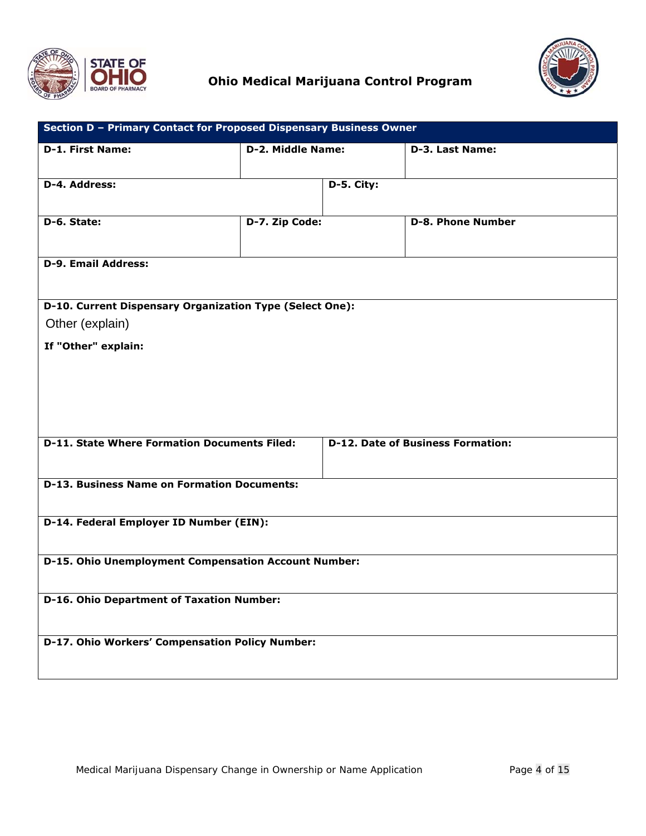



| Section D - Primary Contact for Proposed Dispensary Business Owner                              |                          |            |                          |  |  |
|-------------------------------------------------------------------------------------------------|--------------------------|------------|--------------------------|--|--|
| <b>D-1. First Name:</b>                                                                         | <b>D-2. Middle Name:</b> |            | D-3. Last Name:          |  |  |
| D-4. Address:                                                                                   |                          | D-5. City: |                          |  |  |
| D-6. State:                                                                                     | D-7. Zip Code:           |            | <b>D-8. Phone Number</b> |  |  |
| <b>D-9. Email Address:</b>                                                                      |                          |            |                          |  |  |
| D-10. Current Dispensary Organization Type (Select One):                                        |                          |            |                          |  |  |
| Other (explain)                                                                                 |                          |            |                          |  |  |
| If "Other" explain:                                                                             |                          |            |                          |  |  |
| <b>D-11. State Where Formation Documents Filed:</b><br><b>D-12. Date of Business Formation:</b> |                          |            |                          |  |  |
| <b>D-13. Business Name on Formation Documents:</b>                                              |                          |            |                          |  |  |
| D-14. Federal Employer ID Number (EIN):                                                         |                          |            |                          |  |  |
| D-15. Ohio Unemployment Compensation Account Number:                                            |                          |            |                          |  |  |
| <b>D-16. Ohio Department of Taxation Number:</b>                                                |                          |            |                          |  |  |
| D-17. Ohio Workers' Compensation Policy Number:                                                 |                          |            |                          |  |  |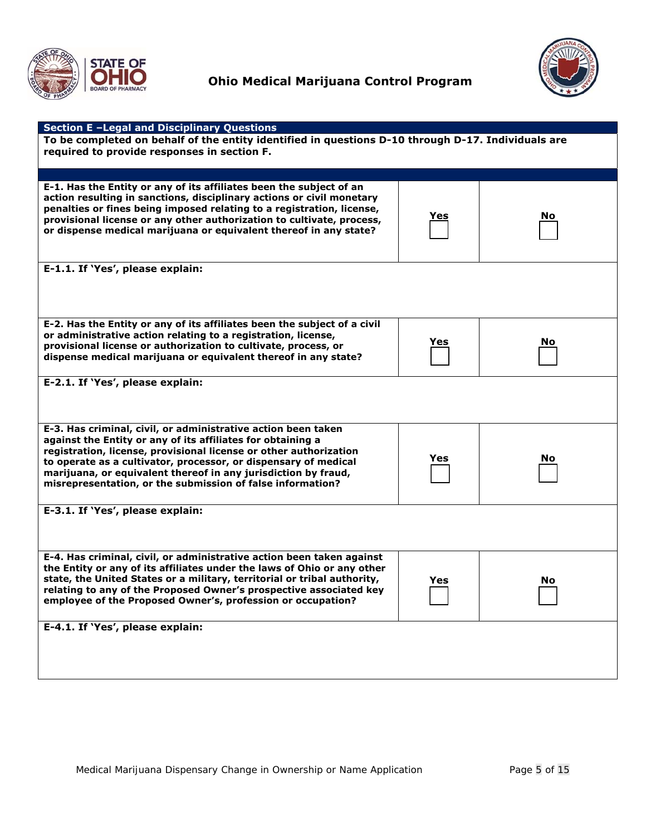



| <b>Section E-Legal and Disciplinary Questions</b>                                                  |            |    |  |  |
|----------------------------------------------------------------------------------------------------|------------|----|--|--|
| To be completed on behalf of the entity identified in questions D-10 through D-17. Individuals are |            |    |  |  |
| required to provide responses in section F.                                                        |            |    |  |  |
|                                                                                                    |            |    |  |  |
|                                                                                                    |            |    |  |  |
| E-1. Has the Entity or any of its affiliates been the subject of an                                |            |    |  |  |
| action resulting in sanctions, disciplinary actions or civil monetary                              |            |    |  |  |
| penalties or fines being imposed relating to a registration, license,                              |            |    |  |  |
| provisional license or any other authorization to cultivate, process,                              | <u>Yes</u> | No |  |  |
| or dispense medical marijuana or equivalent thereof in any state?                                  |            |    |  |  |
|                                                                                                    |            |    |  |  |
|                                                                                                    |            |    |  |  |
|                                                                                                    |            |    |  |  |
| E-1.1. If 'Yes', please explain:                                                                   |            |    |  |  |
|                                                                                                    |            |    |  |  |
|                                                                                                    |            |    |  |  |
|                                                                                                    |            |    |  |  |
|                                                                                                    |            |    |  |  |
| E-2. Has the Entity or any of its affiliates been the subject of a civil                           |            |    |  |  |
| or administrative action relating to a registration, license,                                      |            |    |  |  |
| provisional license or authorization to cultivate, process, or                                     | Yes        | No |  |  |
| dispense medical marijuana or equivalent thereof in any state?                                     |            |    |  |  |
|                                                                                                    |            |    |  |  |
|                                                                                                    |            |    |  |  |
| E-2.1. If 'Yes', please explain:                                                                   |            |    |  |  |
|                                                                                                    |            |    |  |  |
|                                                                                                    |            |    |  |  |
|                                                                                                    |            |    |  |  |
| E-3. Has criminal, civil, or administrative action been taken                                      |            |    |  |  |
| against the Entity or any of its affiliates for obtaining a                                        |            |    |  |  |
| registration, license, provisional license or other authorization                                  |            |    |  |  |
| to operate as a cultivator, processor, or dispensary of medical                                    | Yes        | No |  |  |
| marijuana, or equivalent thereof in any jurisdiction by fraud,                                     |            |    |  |  |
| misrepresentation, or the submission of false information?                                         |            |    |  |  |
|                                                                                                    |            |    |  |  |
| E-3.1. If 'Yes', please explain:                                                                   |            |    |  |  |
|                                                                                                    |            |    |  |  |
|                                                                                                    |            |    |  |  |
|                                                                                                    |            |    |  |  |
|                                                                                                    |            |    |  |  |
| E-4. Has criminal, civil, or administrative action been taken against                              |            |    |  |  |
| the Entity or any of its affiliates under the laws of Ohio or any other                            |            |    |  |  |
| state, the United States or a military, territorial or tribal authority,                           | Yes        | No |  |  |
| relating to any of the Proposed Owner's prospective associated key                                 |            |    |  |  |
| employee of the Proposed Owner's, profession or occupation?                                        |            |    |  |  |
|                                                                                                    |            |    |  |  |
| E-4.1. If 'Yes', please explain:                                                                   |            |    |  |  |
|                                                                                                    |            |    |  |  |
|                                                                                                    |            |    |  |  |
|                                                                                                    |            |    |  |  |
|                                                                                                    |            |    |  |  |
|                                                                                                    |            |    |  |  |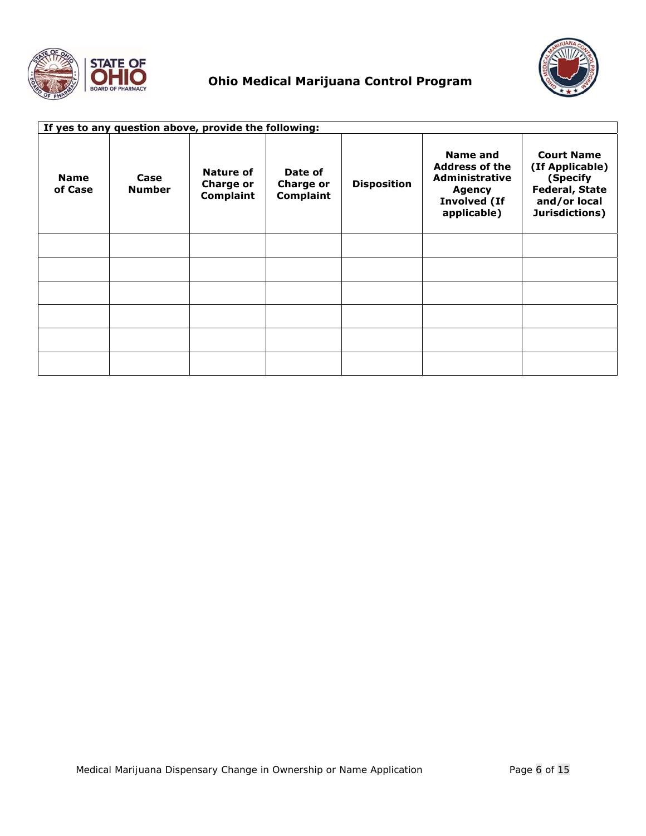



| If yes to any question above, provide the following: |                       |                                                          |                                                 |                    |                                                                                                                   |                                                                                                             |
|------------------------------------------------------|-----------------------|----------------------------------------------------------|-------------------------------------------------|--------------------|-------------------------------------------------------------------------------------------------------------------|-------------------------------------------------------------------------------------------------------------|
| <b>Name</b><br>of Case                               | Case<br><b>Number</b> | <b>Nature of</b><br><b>Charge or</b><br><b>Complaint</b> | Date of<br><b>Charge or</b><br><b>Complaint</b> | <b>Disposition</b> | Name and<br><b>Address of the</b><br><b>Administrative</b><br><b>Agency</b><br><b>Involved (If</b><br>applicable) | <b>Court Name</b><br>(If Applicable)<br>(Specify<br><b>Federal, State</b><br>and/or local<br>Jurisdictions) |
|                                                      |                       |                                                          |                                                 |                    |                                                                                                                   |                                                                                                             |
|                                                      |                       |                                                          |                                                 |                    |                                                                                                                   |                                                                                                             |
|                                                      |                       |                                                          |                                                 |                    |                                                                                                                   |                                                                                                             |
|                                                      |                       |                                                          |                                                 |                    |                                                                                                                   |                                                                                                             |
|                                                      |                       |                                                          |                                                 |                    |                                                                                                                   |                                                                                                             |
|                                                      |                       |                                                          |                                                 |                    |                                                                                                                   |                                                                                                             |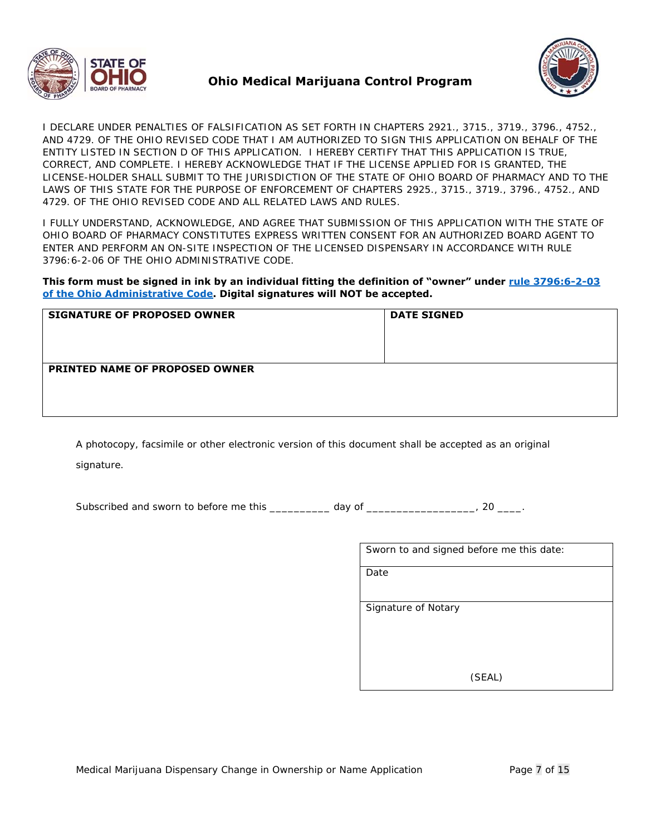



I DECLARE UNDER PENALTIES OF FALSIFICATION AS SET FORTH IN CHAPTERS 2921., 3715., 3719., 3796., 4752., AND 4729. OF THE OHIO REVISED CODE THAT I AM AUTHORIZED TO SIGN THIS APPLICATION ON BEHALF OF THE ENTITY LISTED IN SECTION D OF THIS APPLICATION. I HEREBY CERTIFY THAT THIS APPLICATION IS TRUE, CORRECT, AND COMPLETE. I HEREBY ACKNOWLEDGE THAT IF THE LICENSE APPLIED FOR IS GRANTED, THE LICENSE-HOLDER SHALL SUBMIT TO THE JURISDICTION OF THE STATE OF OHIO BOARD OF PHARMACY AND TO THE LAWS OF THIS STATE FOR THE PURPOSE OF ENFORCEMENT OF CHAPTERS 2925., 3715., 3719., 3796., 4752., AND 4729. OF THE OHIO REVISED CODE AND ALL RELATED LAWS AND RULES.

I FULLY UNDERSTAND, ACKNOWLEDGE, AND AGREE THAT SUBMISSION OF THIS APPLICATION WITH THE STATE OF OHIO BOARD OF PHARMACY CONSTITUTES EXPRESS WRITTEN CONSENT FOR AN AUTHORIZED BOARD AGENT TO ENTER AND PERFORM AN ON-SITE INSPECTION OF THE LICENSED DISPENSARY IN ACCORDANCE WITH RULE 3796:6-2-06 OF THE OHIO ADMINISTRATIVE CODE.

**This form must be signed in ink by an individual fitting the definition of "owner" under rule 3796:6-2-03 of the Ohio Administrative Code. Digital signatures will NOT be accepted.** 

| <b>SIGNATURE OF PROPOSED OWNER</b>    | <b>DATE SIGNED</b> |
|---------------------------------------|--------------------|
| <b>PRINTED NAME OF PROPOSED OWNER</b> |                    |

A photocopy, facsimile or other electronic version of this document shall be accepted as an original

signature.

Subscribed and sworn to before me this \_\_\_\_\_\_\_\_\_\_ day of \_\_\_\_\_\_\_\_\_\_\_\_\_\_\_\_\_\_\_, 20 \_\_\_\_.

| Sworn to and signed before me this date: |
|------------------------------------------|
| Date                                     |
| Signature of Notary                      |
|                                          |
| (SEAL)                                   |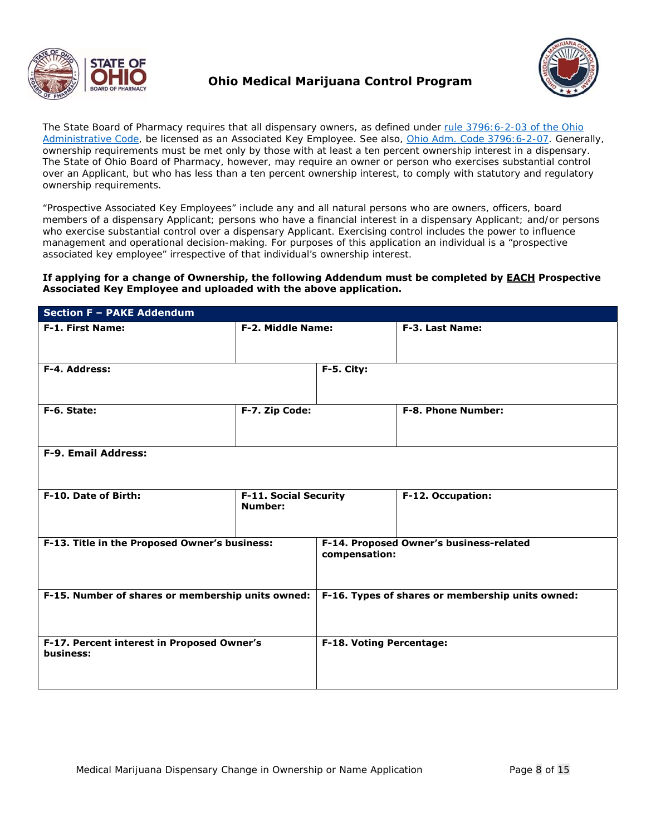



The State Board of Pharmacy requires that all dispensary owners, as defined under rule 3796:6-2-03 of the Ohio Administrative Code, be licensed as an Associated Key Employee. *See also*, Ohio Adm. Code 3796:6-2-07. Generally, ownership requirements must be met only by those with at least a ten percent ownership interest in a dispensary. The State of Ohio Board of Pharmacy, however, may require an owner or person who exercises substantial control over an Applicant, but who has less than a ten percent ownership interest, to comply with statutory and regulatory ownership requirements.

"Prospective Associated Key Employees" include any and all natural persons who are owners, officers, board members of a dispensary Applicant; persons who have a financial interest in a dispensary Applicant; and/or persons who exercise substantial control over a dispensary Applicant. Exercising control includes the power to influence management and operational decision-making. For purposes of this application an individual is a "prospective associated key employee" irrespective of that individual's ownership interest.

#### **If applying for a change of Ownership, the following Addendum must be completed by EACH Prospective Associated Key Employee and uploaded with the above application.**

| <b>Section F - PAKE Addendum</b>                        |                                                |                                                          |                           |  |  |
|---------------------------------------------------------|------------------------------------------------|----------------------------------------------------------|---------------------------|--|--|
| F-1. First Name:                                        | F-2. Middle Name:                              |                                                          | F-3. Last Name:           |  |  |
|                                                         |                                                |                                                          |                           |  |  |
| F-4. Address:                                           |                                                | F-5. City:                                               |                           |  |  |
|                                                         |                                                |                                                          |                           |  |  |
| F-6. State:                                             | F-7. Zip Code:                                 |                                                          | <b>F-8. Phone Number:</b> |  |  |
|                                                         |                                                |                                                          |                           |  |  |
| <b>F-9. Email Address:</b>                              |                                                |                                                          |                           |  |  |
|                                                         |                                                |                                                          |                           |  |  |
| F-10. Date of Birth:                                    | <b>F-11. Social Security</b><br><b>Number:</b> |                                                          | F-12. Occupation:         |  |  |
|                                                         |                                                |                                                          |                           |  |  |
| F-13. Title in the Proposed Owner's business:           |                                                | F-14. Proposed Owner's business-related<br>compensation: |                           |  |  |
|                                                         |                                                |                                                          |                           |  |  |
| F-15. Number of shares or membership units owned:       |                                                | F-16. Types of shares or membership units owned:         |                           |  |  |
|                                                         |                                                |                                                          |                           |  |  |
|                                                         |                                                |                                                          |                           |  |  |
| F-17. Percent interest in Proposed Owner's<br>business: |                                                | F-18. Voting Percentage:                                 |                           |  |  |
|                                                         |                                                |                                                          |                           |  |  |
|                                                         |                                                |                                                          |                           |  |  |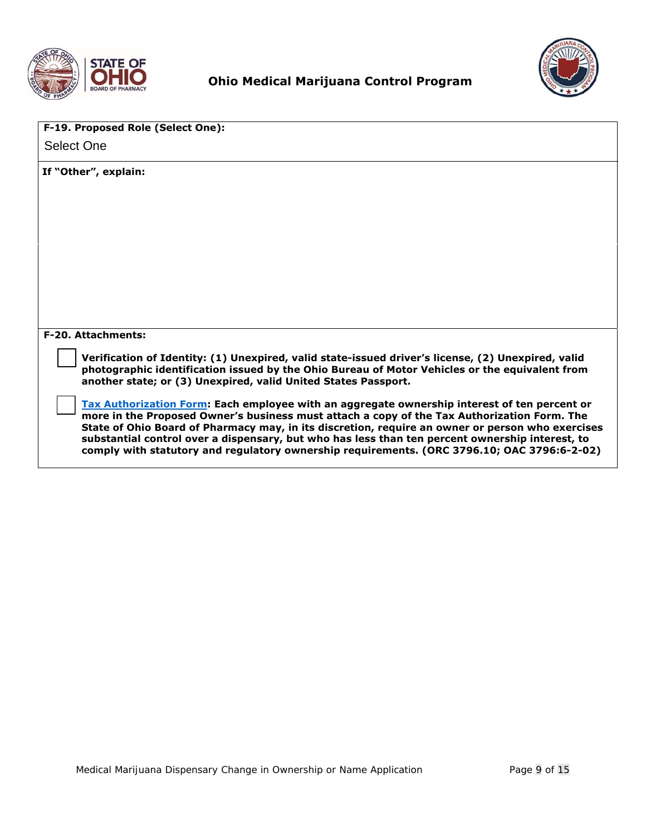



| F-19. Proposed Role (Select One):                                                                                                                                                                                                                                                                                                                                                                                                                                                                 |
|---------------------------------------------------------------------------------------------------------------------------------------------------------------------------------------------------------------------------------------------------------------------------------------------------------------------------------------------------------------------------------------------------------------------------------------------------------------------------------------------------|
| <b>Select One</b>                                                                                                                                                                                                                                                                                                                                                                                                                                                                                 |
| If "Other", explain:                                                                                                                                                                                                                                                                                                                                                                                                                                                                              |
|                                                                                                                                                                                                                                                                                                                                                                                                                                                                                                   |
|                                                                                                                                                                                                                                                                                                                                                                                                                                                                                                   |
|                                                                                                                                                                                                                                                                                                                                                                                                                                                                                                   |
|                                                                                                                                                                                                                                                                                                                                                                                                                                                                                                   |
| <b>F-20. Attachments:</b>                                                                                                                                                                                                                                                                                                                                                                                                                                                                         |
| Verification of Identity: (1) Unexpired, valid state-issued driver's license, (2) Unexpired, valid<br>photographic identification issued by the Ohio Bureau of Motor Vehicles or the equivalent from<br>another state; or (3) Unexpired, valid United States Passport.                                                                                                                                                                                                                            |
| Tax Authorization Form: Each employee with an aggregate ownership interest of ten percent or<br>more in the Proposed Owner's business must attach a copy of the Tax Authorization Form. The<br>State of Ohio Board of Pharmacy may, in its discretion, require an owner or person who exercises<br>substantial control over a dispensary, but who has less than ten percent ownership interest, to<br>comply with statutory and regulatory ownership requirements. (ORC 3796.10; OAC 3796:6-2-02) |
|                                                                                                                                                                                                                                                                                                                                                                                                                                                                                                   |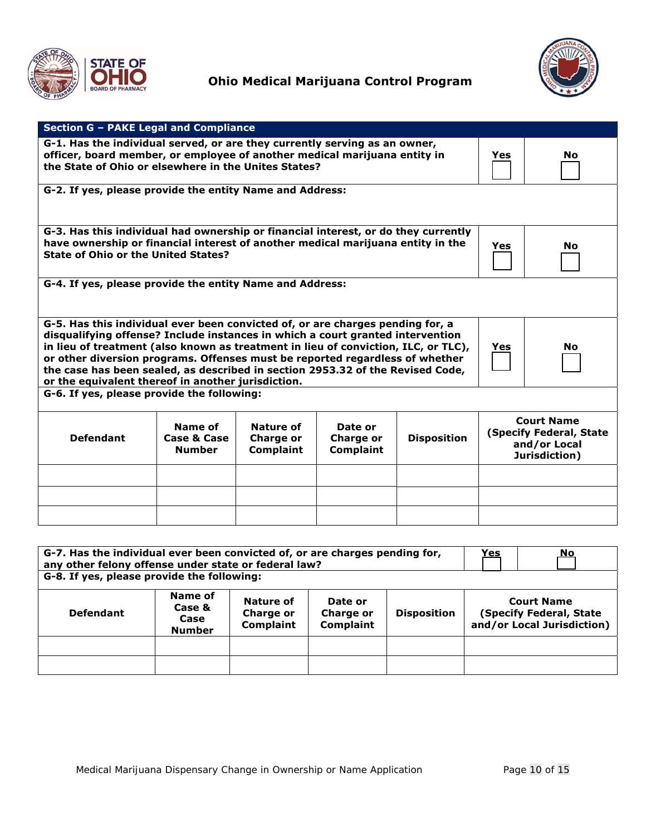



| Section G - PAKE Legal and Compliance                                                                                                                                                                                                                                                                                                                                                                                                                                                              |  |  |  |  |                                                                               |           |
|----------------------------------------------------------------------------------------------------------------------------------------------------------------------------------------------------------------------------------------------------------------------------------------------------------------------------------------------------------------------------------------------------------------------------------------------------------------------------------------------------|--|--|--|--|-------------------------------------------------------------------------------|-----------|
| G-1. Has the individual served, or are they currently serving as an owner,<br>officer, board member, or employee of another medical marijuana entity in<br>the State of Ohio or elsewhere in the Unites States?                                                                                                                                                                                                                                                                                    |  |  |  |  | Yes                                                                           | <b>No</b> |
| G-2. If yes, please provide the entity Name and Address:                                                                                                                                                                                                                                                                                                                                                                                                                                           |  |  |  |  |                                                                               |           |
| G-3. Has this individual had ownership or financial interest, or do they currently<br>have ownership or financial interest of another medical marijuana entity in the<br><b>State of Ohio or the United States?</b>                                                                                                                                                                                                                                                                                |  |  |  |  | Yes                                                                           | No.       |
| G-4. If yes, please provide the entity Name and Address:                                                                                                                                                                                                                                                                                                                                                                                                                                           |  |  |  |  |                                                                               |           |
| G-5. Has this individual ever been convicted of, or are charges pending for, a<br>disqualifying offense? Include instances in which a court granted intervention<br>in lieu of treatment (also known as treatment in lieu of conviction, ILC, or TLC),<br><b>No</b><br>Yes<br>or other diversion programs. Offenses must be reported regardless of whether<br>the case has been sealed, as described in section 2953.32 of the Revised Code,<br>or the equivalent thereof in another jurisdiction. |  |  |  |  |                                                                               |           |
| G-6. If yes, please provide the following:                                                                                                                                                                                                                                                                                                                                                                                                                                                         |  |  |  |  |                                                                               |           |
| Name of<br><b>Nature of</b><br>Date or<br><b>Defendant</b><br>Case & Case<br><b>Charge or</b><br><b>Disposition</b><br>Charge or<br><b>Complaint</b><br><b>Complaint</b><br><b>Number</b>                                                                                                                                                                                                                                                                                                          |  |  |  |  | <b>Court Name</b><br>(Specify Federal, State<br>and/or Local<br>Jurisdiction) |           |
|                                                                                                                                                                                                                                                                                                                                                                                                                                                                                                    |  |  |  |  |                                                                               |           |
|                                                                                                                                                                                                                                                                                                                                                                                                                                                                                                    |  |  |  |  |                                                                               |           |
|                                                                                                                                                                                                                                                                                                                                                                                                                                                                                                    |  |  |  |  |                                                                               |           |
|                                                                                                                                                                                                                                                                                                                                                                                                                                                                                                    |  |  |  |  |                                                                               |           |

| G-7. Has the individual ever been convicted of, or are charges pending for,<br>any other felony offense under state or federal law?<br>G-8. If yes, please provide the following: |                                                                                                                                                                                                                                          |  |  |  | <u>Yes</u> | No |
|-----------------------------------------------------------------------------------------------------------------------------------------------------------------------------------|------------------------------------------------------------------------------------------------------------------------------------------------------------------------------------------------------------------------------------------|--|--|--|------------|----|
| <b>Defendant</b>                                                                                                                                                                  | Name of<br><b>Court Name</b><br>Nature of<br>Date or<br>Case &<br>(Specify Federal, State<br><b>Disposition</b><br>Charge or<br>Charge or<br>Case<br>and/or Local Jurisdiction)<br><b>Complaint</b><br><b>Complaint</b><br><b>Number</b> |  |  |  |            |    |
|                                                                                                                                                                                   |                                                                                                                                                                                                                                          |  |  |  |            |    |
|                                                                                                                                                                                   |                                                                                                                                                                                                                                          |  |  |  |            |    |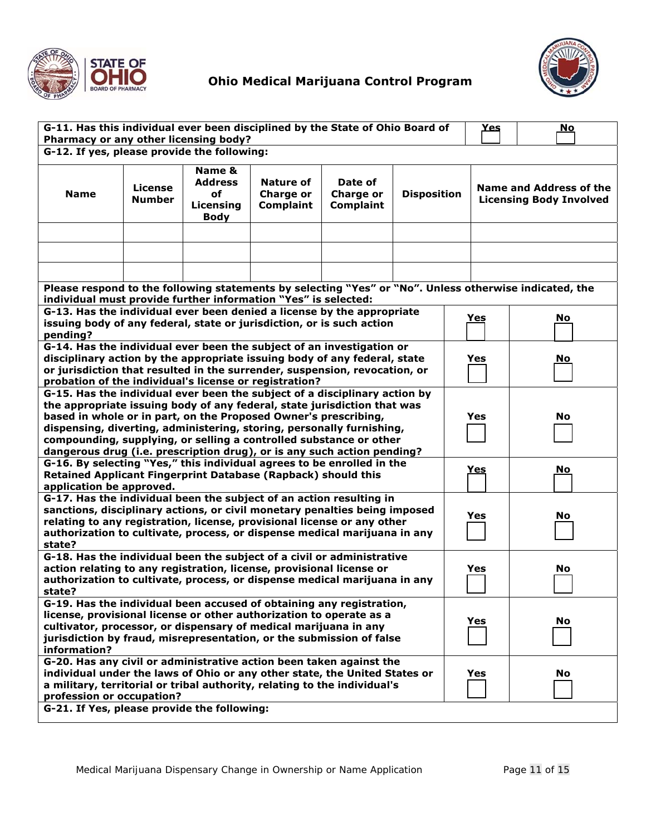



| G-11. Has this individual ever been disciplined by the State of Ohio Board of<br>Pharmacy or any other licensing body?                                                                                                                                                                                                                                                                                                                              |                                 |                                                            |                                            | Yes                                             | <u>No</u>                                                                       |            |  |    |
|-----------------------------------------------------------------------------------------------------------------------------------------------------------------------------------------------------------------------------------------------------------------------------------------------------------------------------------------------------------------------------------------------------------------------------------------------------|---------------------------------|------------------------------------------------------------|--------------------------------------------|-------------------------------------------------|---------------------------------------------------------------------------------|------------|--|----|
| G-12. If yes, please provide the following:                                                                                                                                                                                                                                                                                                                                                                                                         |                                 |                                                            |                                            |                                                 |                                                                                 |            |  |    |
| <b>Name</b>                                                                                                                                                                                                                                                                                                                                                                                                                                         | <b>License</b><br><b>Number</b> | Name &<br><b>Address</b><br>οf<br>Licensing<br><b>Body</b> | Nature of<br>Charge or<br><b>Complaint</b> | Date of<br><b>Charge or</b><br><b>Complaint</b> | Name and Address of the<br><b>Disposition</b><br><b>Licensing Body Involved</b> |            |  |    |
|                                                                                                                                                                                                                                                                                                                                                                                                                                                     |                                 |                                                            |                                            |                                                 |                                                                                 |            |  |    |
|                                                                                                                                                                                                                                                                                                                                                                                                                                                     |                                 |                                                            |                                            |                                                 |                                                                                 |            |  |    |
|                                                                                                                                                                                                                                                                                                                                                                                                                                                     |                                 |                                                            |                                            |                                                 |                                                                                 |            |  |    |
| Please respond to the following statements by selecting "Yes" or "No". Unless otherwise indicated, the<br>individual must provide further information "Yes" is selected:                                                                                                                                                                                                                                                                            |                                 |                                                            |                                            |                                                 |                                                                                 |            |  |    |
| G-13. Has the individual ever been denied a license by the appropriate                                                                                                                                                                                                                                                                                                                                                                              |                                 |                                                            |                                            |                                                 |                                                                                 |            |  |    |
| issuing body of any federal, state or jurisdiction, or is such action<br>pending?                                                                                                                                                                                                                                                                                                                                                                   |                                 |                                                            |                                            |                                                 |                                                                                 | Yes        |  | No |
| G-14. Has the individual ever been the subject of an investigation or<br>disciplinary action by the appropriate issuing body of any federal, state<br>or jurisdiction that resulted in the surrender, suspension, revocation, or<br>probation of the individual's license or registration?                                                                                                                                                          |                                 |                                                            |                                            |                                                 |                                                                                 | Yes        |  | No |
| G-15. Has the individual ever been the subject of a disciplinary action by<br>the appropriate issuing body of any federal, state jurisdiction that was<br>based in whole or in part, on the Proposed Owner's prescribing,<br>dispensing, diverting, administering, storing, personally furnishing,<br>compounding, supplying, or selling a controlled substance or other<br>dangerous drug (i.e. prescription drug), or is any such action pending? |                                 |                                                            |                                            |                                                 |                                                                                 | Yes        |  | No |
| G-16. By selecting "Yes," this individual agrees to be enrolled in the<br>Retained Applicant Fingerprint Database (Rapback) should this<br>application be approved.                                                                                                                                                                                                                                                                                 |                                 |                                                            |                                            |                                                 |                                                                                 | <u>Yes</u> |  | No |
| G-17. Has the individual been the subject of an action resulting in<br>sanctions, disciplinary actions, or civil monetary penalties being imposed<br>Yes<br>No<br>relating to any registration, license, provisional license or any other<br>authorization to cultivate, process, or dispense medical marijuana in any<br>state?                                                                                                                    |                                 |                                                            |                                            |                                                 |                                                                                 |            |  |    |
| G-18. Has the individual been the subject of a civil or administrative<br>action relating to any registration, license, provisional license or<br>authorization to cultivate, process, or dispense medical marijuana in any<br>state?                                                                                                                                                                                                               |                                 |                                                            |                                            |                                                 |                                                                                 | Yes        |  | No |
| G-19. Has the individual been accused of obtaining any registration,<br>license, provisional license or other authorization to operate as a<br>cultivator, processor, or dispensary of medical marijuana in any<br>jurisdiction by fraud, misrepresentation, or the submission of false<br>information?                                                                                                                                             |                                 |                                                            |                                            |                                                 |                                                                                 | Yes        |  | No |
| G-20. Has any civil or administrative action been taken against the<br>individual under the laws of Ohio or any other state, the United States or<br>a military, territorial or tribal authority, relating to the individual's<br>profession or occupation?                                                                                                                                                                                         |                                 |                                                            |                                            |                                                 |                                                                                 | Yes        |  | No |
| G-21. If Yes, please provide the following:                                                                                                                                                                                                                                                                                                                                                                                                         |                                 |                                                            |                                            |                                                 |                                                                                 |            |  |    |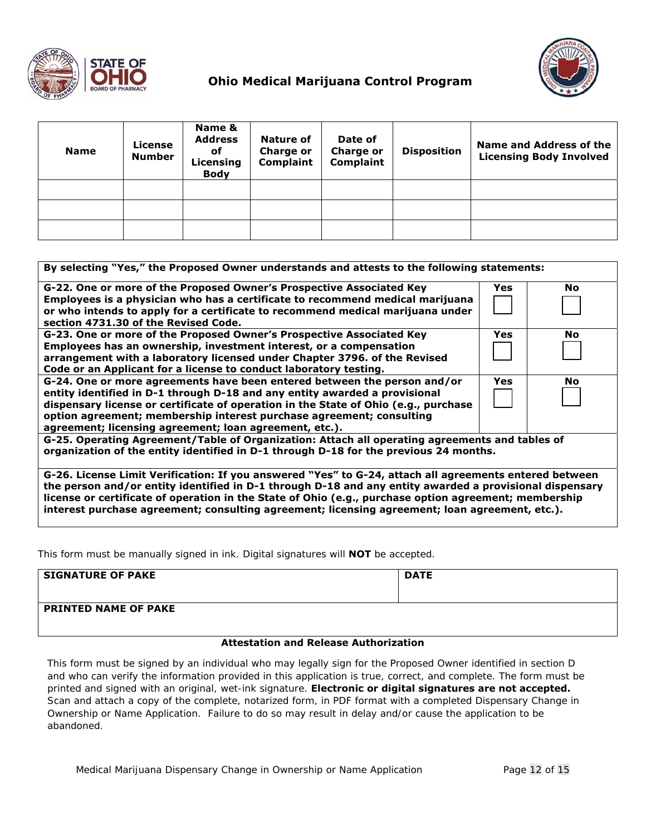

| <b>Name</b> | <b>License</b><br><b>Number</b> | Name &<br><b>Address</b><br>оf<br>Licensing<br><b>Body</b> | <b>Nature of</b><br><b>Charge or</b><br><b>Complaint</b> | Date of<br><b>Charge or</b><br>Complaint | <b>Disposition</b> | Name and Address of the<br><b>Licensing Body Involved</b> |
|-------------|---------------------------------|------------------------------------------------------------|----------------------------------------------------------|------------------------------------------|--------------------|-----------------------------------------------------------|
|             |                                 |                                                            |                                                          |                                          |                    |                                                           |
|             |                                 |                                                            |                                                          |                                          |                    |                                                           |
|             |                                 |                                                            |                                                          |                                          |                    |                                                           |

| By selecting "Yes," the Proposed Owner understands and attests to the following statements:                                                                                                                                                                                                                                                                                     |            |           |
|---------------------------------------------------------------------------------------------------------------------------------------------------------------------------------------------------------------------------------------------------------------------------------------------------------------------------------------------------------------------------------|------------|-----------|
| G-22. One or more of the Proposed Owner's Prospective Associated Key<br>Employees is a physician who has a certificate to recommend medical marijuana<br>or who intends to apply for a certificate to recommend medical marijuana under<br>section 4731.30 of the Revised Code.                                                                                                 | Yes        | No.       |
| G-23. One or more of the Proposed Owner's Prospective Associated Key<br>Employees has an ownership, investment interest, or a compensation<br>arrangement with a laboratory licensed under Chapter 3796. of the Revised<br>Code or an Applicant for a license to conduct laboratory testing.                                                                                    | <b>Yes</b> | <b>No</b> |
| G-24. One or more agreements have been entered between the person and/or<br>entity identified in D-1 through D-18 and any entity awarded a provisional<br>dispensary license or certificate of operation in the State of Ohio (e.g., purchase<br>option agreement; membership interest purchase agreement; consulting<br>agreement; licensing agreement; loan agreement, etc.). | Yes        | No        |
| G-25. Operating Agreement/Table of Organization: Attach all operating agreements and tables of<br>organization of the entity identified in D-1 through D-18 for the previous 24 months.                                                                                                                                                                                         |            |           |
| G-26. License Limit Verification: If you answered "Yes" to G-24, attach all agreements entered between<br>the person and/or entity identified in D-1 through D-18 and any entity awarded a provisional dispensary<br>license or certificate of operation in the State of Ohio (e.g., purchase option agreement; membership                                                      |            |           |

**interest purchase agreement; consulting agreement; licensing agreement; loan agreement, etc.).**

This form must be manually signed in ink. Digital signatures will **NOT** be accepted.

| <b>SIGNATURE OF PAKE</b>    | <b>DATE</b> |
|-----------------------------|-------------|
| <b>PRINTED NAME OF PAKE</b> |             |

#### **Attestation and Release Authorization**

This form must be signed by an individual who may legally sign for the Proposed Owner identified in section D and who can verify the information provided in this application is true, correct, and complete. The form must be printed and signed with an original, wet-ink signature. **Electronic or digital signatures are not accepted.** Scan and attach a copy of the complete, notarized form, in PDF format with a completed Dispensary Change in Ownership or Name Application. Failure to do so may result in delay and/or cause the application to be abandoned.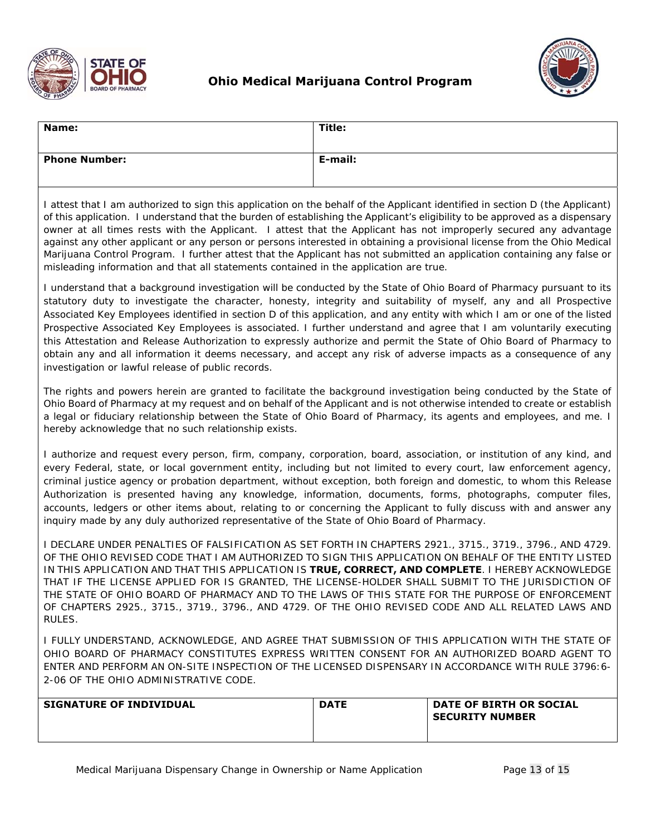



| Name:                                                                                      | Title:                                                                                                                                                                                                                                                                                                                                                                                                                                                                                                                                                                                                                                                                                                                                     |
|--------------------------------------------------------------------------------------------|--------------------------------------------------------------------------------------------------------------------------------------------------------------------------------------------------------------------------------------------------------------------------------------------------------------------------------------------------------------------------------------------------------------------------------------------------------------------------------------------------------------------------------------------------------------------------------------------------------------------------------------------------------------------------------------------------------------------------------------------|
| <b>Phone Number:</b>                                                                       | E-mail:                                                                                                                                                                                                                                                                                                                                                                                                                                                                                                                                                                                                                                                                                                                                    |
| misleading information and that all statements contained in the application are true.      | I attest that I am authorized to sign this application on the behalf of the Applicant identified in section D (the Applicant)<br>of this application. I understand that the burden of establishing the Applicant's eligibility to be approved as a dispensary<br>owner at all times rests with the Applicant. I attest that the Applicant has not improperly secured any advantage<br>against any other applicant or any person or persons interested in obtaining a provisional license from the Ohio Medical<br>Marijuana Control Program. I further attest that the Applicant has not submitted an application containing any false or                                                                                                  |
| investigation or lawful release of public records.                                         | I understand that a background investigation will be conducted by the State of Ohio Board of Pharmacy pursuant to its<br>statutory duty to investigate the character, honesty, integrity and suitability of myself, any and all Prospective<br>Associated Key Employees identified in section D of this application, and any entity with which I am or one of the listed<br>Prospective Associated Key Employees is associated. I further understand and agree that I am voluntarily executing<br>this Attestation and Release Authorization to expressly authorize and permit the State of Ohio Board of Pharmacy to<br>obtain any and all information it deems necessary, and accept any risk of adverse impacts as a consequence of any |
| hereby acknowledge that no such relationship exists.                                       | The rights and powers herein are granted to facilitate the background investigation being conducted by the State of<br>Ohio Board of Pharmacy at my request and on behalf of the Applicant and is not otherwise intended to create or establish<br>a legal or fiduciary relationship between the State of Ohio Board of Pharmacy, its agents and employees, and me. I                                                                                                                                                                                                                                                                                                                                                                      |
| inquiry made by any duly authorized representative of the State of Ohio Board of Pharmacy. | I authorize and request every person, firm, company, corporation, board, association, or institution of any kind, and<br>every Federal, state, or local government entity, including but not limited to every court, law enforcement agency,<br>criminal justice agency or probation department, without exception, both foreign and domestic, to whom this Release<br>Authorization is presented having any knowledge, information, documents, forms, photographs, computer files,<br>accounts, ledgers or other items about, relating to or concerning the Applicant to fully discuss with and answer any                                                                                                                                |
| RULES.                                                                                     | I DECLARE UNDER PENALTIES OF FALSIFICATION AS SET FORTH IN CHAPTERS 2921., 3715., 3719., 3796., AND 4729.<br>OF THE OHIO REVISED CODE THAT I AM AUTHORIZED TO SIGN THIS APPLICATION ON BEHALF OF THE ENTITY LISTED<br>IN THIS APPLICATION AND THAT THIS APPLICATION IS TRUE, CORRECT, AND COMPLETE. I HEREBY ACKNOWLEDGE<br>THAT IF THE LICENSE APPLIED FOR IS GRANTED, THE LICENSE-HOLDER SHALL SUBMIT TO THE JURISDICTION OF<br>THE STATE OF OHIO BOARD OF PHARMACY AND TO THE LAWS OF THIS STATE FOR THE PURPOSE OF ENFORCEMENT<br>OF CHAPTERS 2925., 3715., 3719., 3796., AND 4729. OF THE OHIO REVISED CODE AND ALL RELATED LAWS AND                                                                                                  |
| 2-06 OF THE OHIO ADMINISTRATIVE CODE.                                                      | I FULLY UNDERSTAND, ACKNOWLEDGE, AND AGREE THAT SUBMISSION OF THIS APPLICATION WITH THE STATE OF<br>OHIO BOARD OF PHARMACY CONSTITUTES EXPRESS WRITTEN CONSENT FOR AN AUTHORIZED BOARD AGENT TO<br>ENTER AND PERFORM AN ON-SITE INSPECTION OF THE LICENSED DISPENSARY IN ACCORDANCE WITH RULE 3796:6-                                                                                                                                                                                                                                                                                                                                                                                                                                      |

| <b>SIGNATURE OF INDIVIDUAL</b> | <b>DATE</b> | DATE OF BIRTH OR SOCIAL<br><b>SECURITY NUMBER</b> |
|--------------------------------|-------------|---------------------------------------------------|
|                                |             |                                                   |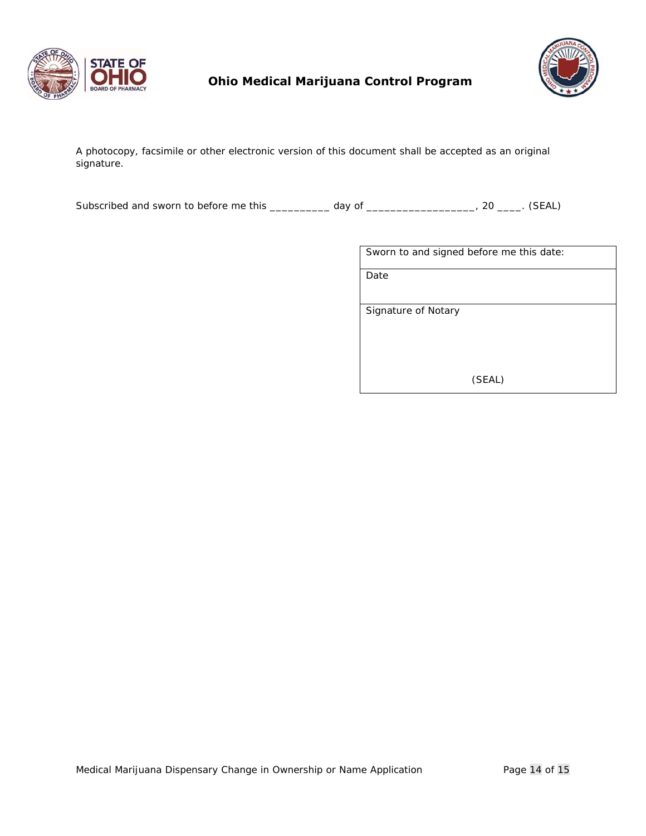



A photocopy, facsimile or other electronic version of this document shall be accepted as an original signature.

Subscribed and sworn to before me this \_\_\_\_\_\_\_\_\_\_ day of \_\_\_\_\_\_\_\_\_\_\_\_\_\_\_\_\_\_, 20 \_\_\_\_. (SEAL)

| Sworn to and signed before me this date: |
|------------------------------------------|
| Date                                     |
|                                          |
| Signature of Notary                      |
|                                          |
| (SEAL)                                   |